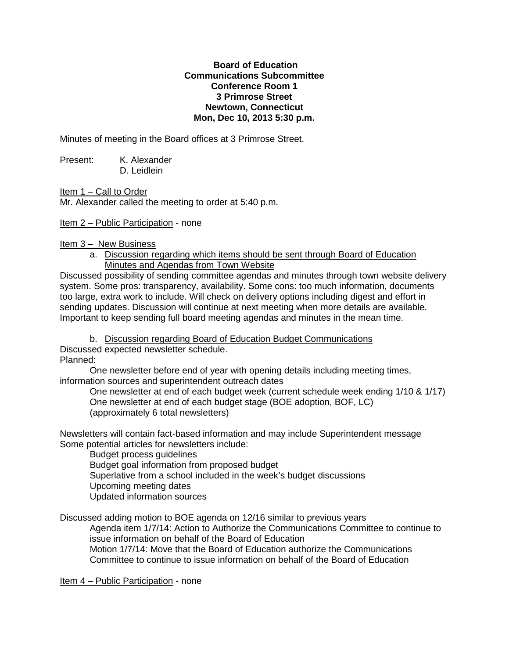## **Board of Education Communications Subcommittee Conference Room 1 3 Primrose Street Newtown, Connecticut Mon, Dec 10, 2013 5:30 p.m.**

Minutes of meeting in the Board offices at 3 Primrose Street.

Present: K. Alexander D. Leidlein

Item 1 – Call to Order

Mr. Alexander called the meeting to order at 5:40 p.m.

Item 2 – Public Participation - none

Item 3 – New Business

a. Discussion regarding which items should be sent through Board of Education Minutes and Agendas from Town Website

Discussed possibility of sending committee agendas and minutes through town website delivery system. Some pros: transparency, availability. Some cons: too much information, documents too large, extra work to include. Will check on delivery options including digest and effort in sending updates. Discussion will continue at next meeting when more details are available. Important to keep sending full board meeting agendas and minutes in the mean time.

b. Discussion regarding Board of Education Budget Communications Discussed expected newsletter schedule. Planned:

One newsletter before end of year with opening details including meeting times, information sources and superintendent outreach dates

One newsletter at end of each budget week (current schedule week ending 1/10 & 1/17) One newsletter at end of each budget stage (BOE adoption, BOF, LC) (approximately 6 total newsletters)

Newsletters will contain fact-based information and may include Superintendent message Some potential articles for newsletters include:

Budget process guidelines Budget goal information from proposed budget Superlative from a school included in the week's budget discussions Upcoming meeting dates Updated information sources

Discussed adding motion to BOE agenda on 12/16 similar to previous years Agenda item 1/7/14: Action to Authorize the Communications Committee to continue to issue information on behalf of the Board of Education Motion 1/7/14: Move that the Board of Education authorize the Communications Committee to continue to issue information on behalf of the Board of Education

Item 4 – Public Participation - none